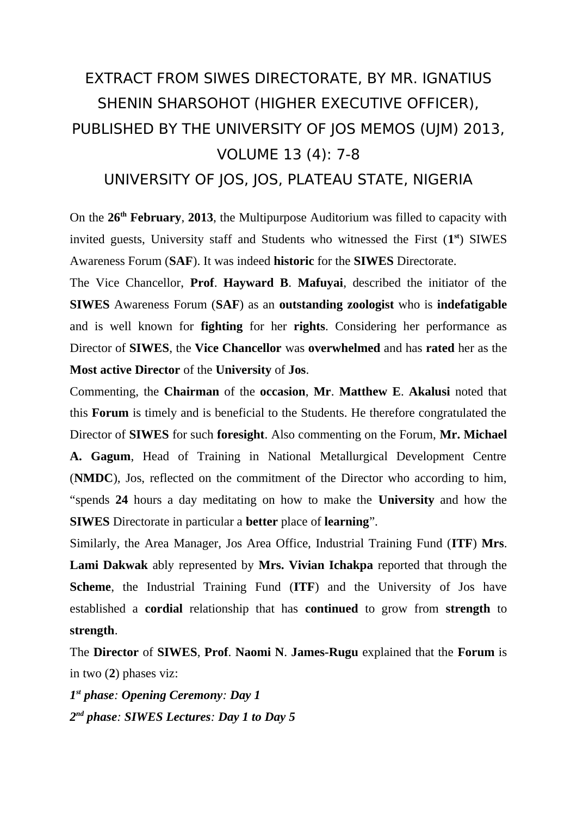## EXTRACT FROM SIWES DIRECTORATE, BY MR. IGNATIUS SHENIN SHARSOHOT (HIGHER EXECUTIVE OFFICER), PUBLISHED BY THE UNIVERSITY OF JOS MEMOS (UJM) 2013, VOLUME 13 (4): 7-8

UNIVERSITY OF JOS, JOS, PLATEAU STATE, NIGERIA

On the **26th February**, **2013**, the Multipurpose Auditorium was filled to capacity with invited guests, University staff and Students who witnessed the First (1<sup>st</sup>) SIWES Awareness Forum (**SAF**). It was indeed **historic** for the **SIWES** Directorate.

The Vice Chancellor, **Prof**. **Hayward B**. **Mafuyai**, described the initiator of the **SIWES** Awareness Forum (**SAF**) as an **outstanding zoologist** who is **indefatigable** and is well known for **fighting** for her **rights**. Considering her performance as Director of **SIWES**, the **Vice Chancellor** was **overwhelmed** and has **rated** her as the **Most active Director** of the **University** of **Jos**.

Commenting, the **Chairman** of the **occasion**, **Mr**. **Matthew E**. **Akalusi** noted that this **Forum** is timely and is beneficial to the Students. He therefore congratulated the Director of **SIWES** for such **foresight**. Also commenting on the Forum, **Mr. Michael A. Gagum**, Head of Training in National Metallurgical Development Centre (**NMDC**), Jos, reflected on the commitment of the Director who according to him, "spends **24** hours a day meditating on how to make the **University** and how the **SIWES** Directorate in particular a **better** place of **learning**".

Similarly, the Area Manager, Jos Area Office, Industrial Training Fund (**ITF**) **Mrs**. **Lami Dakwak** ably represented by **Mrs. Vivian Ichakpa** reported that through the **Scheme**, the Industrial Training Fund (**ITF**) and the University of Jos have established a **cordial** relationship that has **continued** to grow from **strength** to **strength**.

The **Director** of **SIWES**, **Prof**. **Naomi N**. **James-Rugu** explained that the **Forum** is in two (**2**) phases viz:

*1 st phase: Opening Ceremony: Day 1 2 nd phase: SIWES Lectures: Day 1 to Day 5*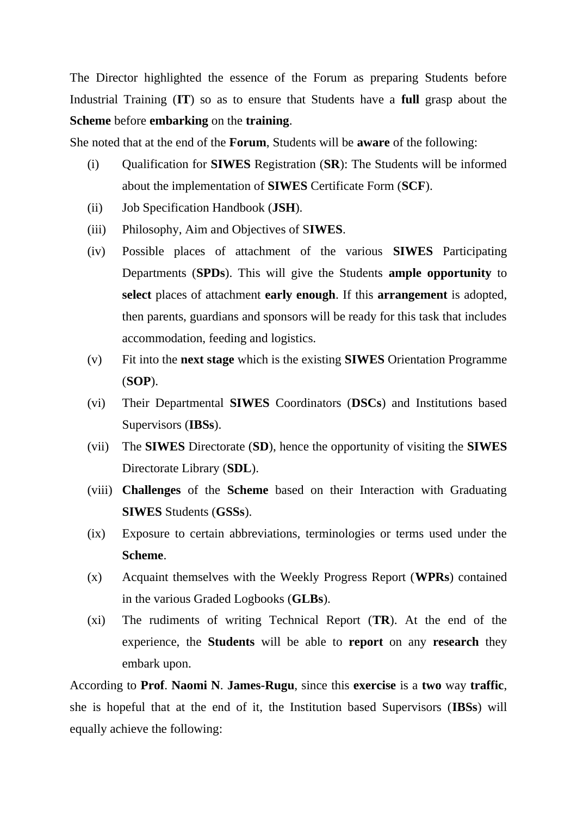The Director highlighted the essence of the Forum as preparing Students before Industrial Training (**IT**) so as to ensure that Students have a **full** grasp about the **Scheme** before **embarking** on the **training**.

She noted that at the end of the **Forum**, Students will be **aware** of the following:

- (i) Qualification for **SIWES** Registration (**SR**): The Students will be informed about the implementation of **SIWES** Certificate Form (**SCF**).
- (ii) Job Specification Handbook (**JSH**).
- (iii) Philosophy, Aim and Objectives of S**IWES**.
- (iv) Possible places of attachment of the various **SIWES** Participating Departments (**SPDs**). This will give the Students **ample opportunity** to **select** places of attachment **early enough**. If this **arrangement** is adopted, then parents, guardians and sponsors will be ready for this task that includes accommodation, feeding and logistics.
- (v) Fit into the **next stage** which is the existing **SIWES** Orientation Programme (**SOP**).
- (vi) Their Departmental **SIWES** Coordinators (**DSCs**) and Institutions based Supervisors (**IBSs**).
- (vii) The **SIWES** Directorate (**SD**), hence the opportunity of visiting the **SIWES** Directorate Library (**SDL**).
- (viii) **Challenges** of the **Scheme** based on their Interaction with Graduating **SIWES** Students (**GSSs**).
- (ix) Exposure to certain abbreviations, terminologies or terms used under the **Scheme**.
- (x) Acquaint themselves with the Weekly Progress Report (**WPRs**) contained in the various Graded Logbooks (**GLBs**).
- (xi) The rudiments of writing Technical Report (**TR**). At the end of the experience, the **Students** will be able to **report** on any **research** they embark upon.

According to **Prof**. **Naomi N**. **James-Rugu**, since this **exercise** is a **two** way **traffic**, she is hopeful that at the end of it, the Institution based Supervisors (**IBSs**) will equally achieve the following: